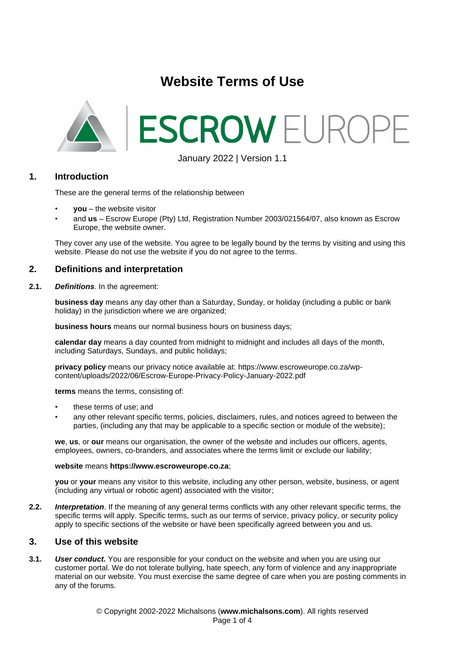# **Website Terms of Use**



January 2022 | Version 1.1

## **1. Introduction**

These are the general terms of the relationship between

- **you** the website visitor
- and **us** Escrow Europe (Pty) Ltd, Registration Number 2003/021564/07, also known as Escrow Europe, the website owner.

They cover any use of the website. You agree to be legally bound by the terms by visiting and using this website. Please do not use the website if you do not agree to the terms.

#### **2. Definitions and interpretation**

**2.1.** *Definitions*. In the agreement:

**business day** means any day other than a Saturday, Sunday, or holiday (including a public or bank holiday) in the jurisdiction where we are organized;

**business hours** means our normal business hours on business days;

**calendar day** means a day counted from midnight to midnight and includes all days of the month, including Saturdays, Sundays, and public holidays;

**privacy policy** means our privacy notice available at: https://www.escroweurope.co.za/wpcontent/uploads/2022/06/Escrow-Europe-Privacy-Policy-January-2022.pdf

**terms** means the terms, consisting of:

- these terms of use; and
- any other relevant specific terms, policies, disclaimers, rules, and notices agreed to between the parties, (including any that may be applicable to a specific section or module of the website);

**we**, **us**, or **our** means our organisation, the owner of the website and includes our officers, agents, employees, owners, co-branders, and associates where the terms limit or exclude our liability;

#### **website** means **https://www.escroweurope.co.za**;

**you** or **your** means any visitor to this website, including any other person, website, business, or agent (including any virtual or robotic agent) associated with the visitor;

**2.2.** *Interpretation*. If the meaning of any general terms conflicts with any other relevant specific terms, the specific terms will apply. Specific terms, such as our terms of service, privacy policy, or security policy apply to specific sections of the website or have been specifically agreed between you and us.

#### **3. Use of this website**

**3.1.** *User conduct.* You are responsible for your conduct on the website and when you are using our customer portal. We do not tolerate bullying, hate speech, any form of violence and any inappropriate material on our website. You must exercise the same degree of care when you are posting comments in any of the forums.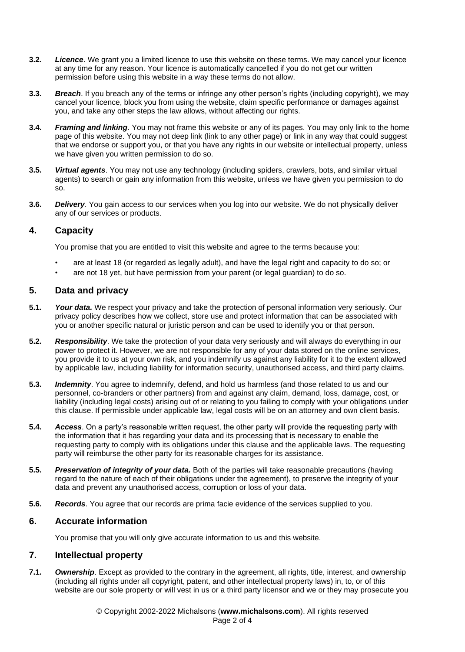- **3.2.** *Licence*. We grant you a limited licence to use this website on these terms. We may cancel your licence at any time for any reason. Your licence is automatically cancelled if you do not get our written permission before using this website in a way these terms do not allow.
- **3.3.** *Breach*. If you breach any of the terms or infringe any other person's rights (including copyright), we may cancel your licence, block you from using the website, claim specific performance or damages against you, and take any other steps the law allows, without affecting our rights.
- **3.4.** *Framing and linking*. You may not frame this website or any of its pages. You may only link to the home page of this website. You may not deep link (link to any other page) or link in any way that could suggest that we endorse or support you, or that you have any rights in our website or intellectual property, unless we have given you written permission to do so.
- **3.5.** *Virtual agents*. You may not use any technology (including spiders, crawlers, bots, and similar virtual agents) to search or gain any information from this website, unless we have given you permission to do so.
- **3.6.** *Delivery*. You gain access to our services when you log into our website. We do not physically deliver any of our services or products.

# **4. Capacity**

You promise that you are entitled to visit this website and agree to the terms because you:

- are at least 18 (or regarded as legally adult), and have the legal right and capacity to do so; or
- are not 18 yet, but have permission from your parent (or legal guardian) to do so.

## **5. Data and privacy**

- **5.1.** *Your data.* We respect your privacy and take the protection of personal information very seriously. Our privacy policy describes how we collect, store use and protect information that can be associated with you or another specific natural or juristic person and can be used to identify you or that person.
- **5.2.** *Responsibility*. We take the protection of your data very seriously and will always do everything in our power to protect it. However, we are not responsible for any of your data stored on the online services, you provide it to us at your own risk, and you indemnify us against any liability for it to the extent allowed by applicable law, including liability for information security, unauthorised access, and third party claims.
- **5.3.** *Indemnity*. You agree to indemnify, defend, and hold us harmless (and those related to us and our personnel, co-branders or other partners) from and against any claim, demand, loss, damage, cost, or liability (including legal costs) arising out of or relating to you failing to comply with your obligations under this clause. If permissible under applicable law, legal costs will be on an attorney and own client basis.
- **5.4.** *Access*. On a party's reasonable written request, the other party will provide the requesting party with the information that it has regarding your data and its processing that is necessary to enable the requesting party to comply with its obligations under this clause and the applicable laws. The requesting party will reimburse the other party for its reasonable charges for its assistance.
- **5.5.** *Preservation of integrity of your data.* Both of the parties will take reasonable precautions (having regard to the nature of each of their obligations under the agreement), to preserve the integrity of your data and prevent any unauthorised access, corruption or loss of your data.
- **5.6.** *Records*. You agree that our records are prima facie evidence of the services supplied to you.

## **6. Accurate information**

You promise that you will only give accurate information to us and this website.

## **7. Intellectual property**

**7.1.** *Ownership*. Except as provided to the contrary in the agreement, all rights, title, interest, and ownership (including all rights under all copyright, patent, and other intellectual property laws) in, to, or of this website are our sole property or will vest in us or a third party licensor and we or they may prosecute you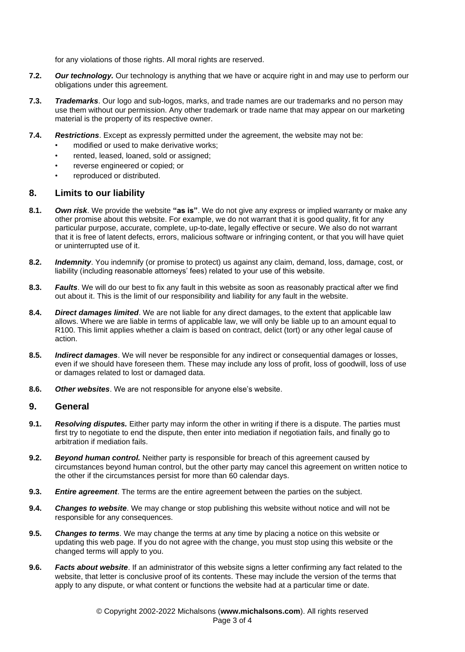for any violations of those rights. All moral rights are reserved.

- **7.2.** *Our technology.* Our technology is anything that we have or acquire right in and may use to perform our obligations under this agreement.
- **7.3.** *Trademarks*. Our logo and sub-logos, marks, and trade names are our trademarks and no person may use them without our permission. Any other trademark or trade name that may appear on our marketing material is the property of its respective owner.
- **7.4.** *Restrictions*. Except as expressly permitted under the agreement, the website may not be:
	- modified or used to make derivative works;
	- rented, leased, loaned, sold or assigned;
	- reverse engineered or copied; or
	- reproduced or distributed.

#### **8. Limits to our liability**

- **8.1.** *Own risk*. We provide the website **"as is"**. We do not give any express or implied warranty or make any other promise about this website. For example, we do not warrant that it is good quality, fit for any particular purpose, accurate, complete, up-to-date, legally effective or secure. We also do not warrant that it is free of latent defects, errors, malicious software or infringing content, or that you will have quiet or uninterrupted use of it.
- **8.2.** *Indemnity*. You indemnify (or promise to protect) us against any claim, demand, loss, damage, cost, or liability (including reasonable attorneys' fees) related to your use of this website.
- **8.3.** *Faults*. We will do our best to fix any fault in this website as soon as reasonably practical after we find out about it. This is the limit of our responsibility and liability for any fault in the website.
- **8.4.** *Direct damages limited*. We are not liable for any direct damages, to the extent that applicable law allows. Where we are liable in terms of applicable law, we will only be liable up to an amount equal to R100. This limit applies whether a claim is based on contract, delict (tort) or any other legal cause of action.
- **8.5.** *Indirect damages*. We will never be responsible for any indirect or consequential damages or losses, even if we should have foreseen them. These may include any loss of profit, loss of goodwill, loss of use or damages related to lost or damaged data.
- **8.6.** *Other websites*. We are not responsible for anyone else's website.

#### **9. General**

- **9.1.** *Resolving disputes.* Either party may inform the other in writing if there is a dispute. The parties must first try to negotiate to end the dispute, then enter into mediation if negotiation fails, and finally go to arbitration if mediation fails.
- **9.2.** *Beyond human control.* Neither party is responsible for breach of this agreement caused by circumstances beyond human control, but the other party may cancel this agreement on written notice to the other if the circumstances persist for more than 60 calendar days.
- **9.3.** *Entire agreement*. The terms are the entire agreement between the parties on the subject.
- **9.4.** *Changes to website*. We may change or stop publishing this website without notice and will not be responsible for any consequences.
- **9.5.** *Changes to terms*. We may change the terms at any time by placing a notice on this website or updating this web page. If you do not agree with the change, you must stop using this website or the changed terms will apply to you.
- **9.6.** *Facts about website*. If an administrator of this website signs a letter confirming any fact related to the website, that letter is conclusive proof of its contents. These may include the version of the terms that apply to any dispute, or what content or functions the website had at a particular time or date.